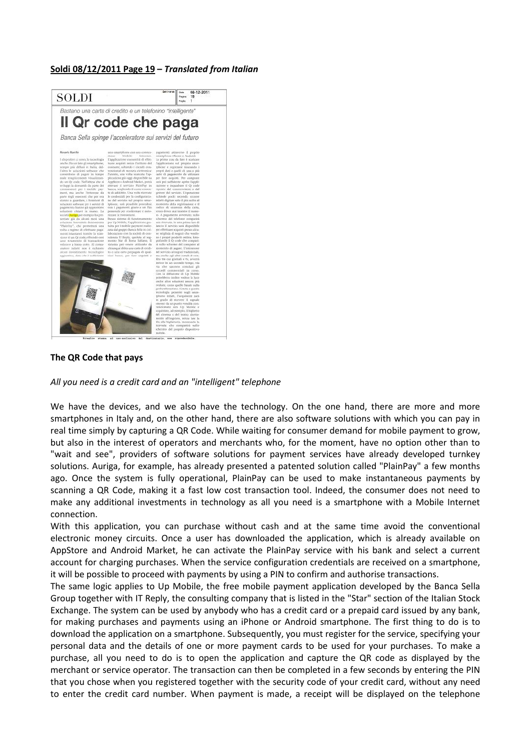## **Soldi 08/12/2011 Page 19 –** *Translated from Italian*



## **The QR Code that pays**

## *All you need is a credit card and an "intelligent" telephone*

We have the devices, and we also have the technology. On the one hand, there are more and more smartphones in Italy and, on the other hand, there are also software solutions with which you can pay in real time simply by capturing a QR Code. While waiting for consumer demand for mobile payment to grow, but also in the interest of operators and merchants who, for the moment, have no option other than to "wait and see", providers of software solutions for payment services have already developed turnkey solutions. Auriga, for example, has already presented a patented solution called "PlainPay" a few months ago. Once the system is fully operational, PlainPay can be used to make instantaneous payments by scanning a QR Code, making it a fast low cost transaction tool. Indeed, the consumer does not need to make any additional investments in technology as all you need is a smartphone with a Mobile Internet connection.

With this application, you can purchase without cash and at the same time avoid the conventional electronic money circuits. Once a user has downloaded the application, which is already available on AppStore and Android Market, he can activate the PlainPay service with his bank and select a current account for charging purchases. When the service configuration credentials are received on a smartphone, it will be possible to proceed with payments by using a PIN to confirm and authorise transactions.

The same logic applies to Up Mobile, the free mobile payment application developed by the Banca Sella Group together with IT Reply, the consulting company that is listed in the "Star" section of the Italian Stock Exchange. The system can be used by anybody who has a credit card or a prepaid card issued by any bank, for making purchases and payments using an iPhone or Android smartphone. The first thing to do is to download the application on a smartphone. Subsequently, you must register for the service, specifying your personal data and the details of one or more payment cards to be used for your purchases. To make a purchase, all you need to do is to open the application and capture the QR code as displayed by the merchant or service operator. The transaction can then be completed in a few seconds by entering the PIN that you chose when you registered together with the security code of your credit card, without any need to enter the credit card number. When payment is made, a receipt will be displayed on the telephone